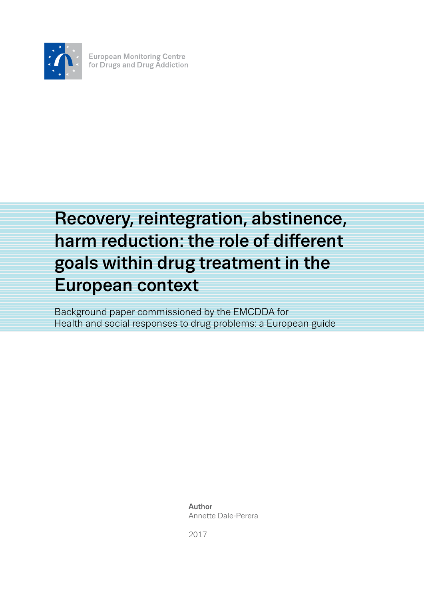

**European Monitoring Centre** for Drugs and Drug Addiction

# Recovery, reintegration, abstinence, harm reduction: the role of different goals within drug treatment in the European context

Background paper commissioned by the EMCDDA for Health and social responses to drug problems: a European guide

> Author Annette Dale-Perera

2017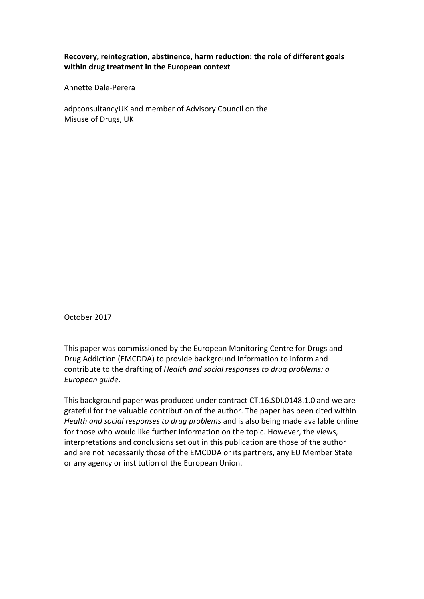# **Recovery, reintegration, abstinence, harm reduction: the role of different goals within drug treatment in the European context**

Annette Dale-Perera

adpconsultancyUK and member of Advisory Council on the Misuse of Drugs, UK

October 2017

This paper was commissioned by the European Monitoring Centre for Drugs and Drug Addiction (EMCDDA) to provide background information to inform and contribute to the drafting of *Health and social responses to drug problems: a European guide*.

This background paper was produced under contract CT.16.SDI.0148.1.0 and we are grateful for the valuable contribution of the author. The paper has been cited within *Health and social responses to drug problems* and is also being made available online for those who would like further information on the topic. However, the views, interpretations and conclusions set out in this publication are those of the author and are not necessarily those of the EMCDDA or its partners, any EU Member State or any agency or institution of the European Union.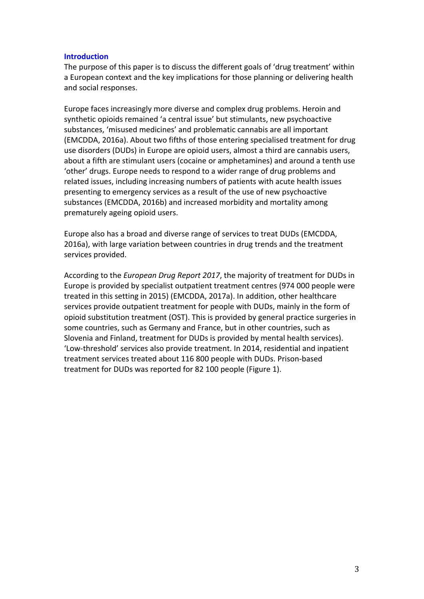#### **Introduction**

The purpose of this paper is to discuss the different goals of 'drug treatment' within a European context and the key implications for those planning or delivering health and social responses.

Europe faces increasingly more diverse and complex drug problems. Heroin and synthetic opioids remained 'a central issue' but stimulants, new psychoactive substances, 'misused medicines' and problematic cannabis are all important (EMCDDA, 2016a). About two fifths of those entering specialised treatment for drug use disorders (DUDs) in Europe are opioid users, almost a third are cannabis users, about a fifth are stimulant users (cocaine or amphetamines) and around a tenth use 'other' drugs. Europe needs to respond to a wider range of drug problems and related issues, including increasing numbers of patients with acute health issues presenting to emergency services as a result of the use of new psychoactive substances (EMCDDA, 2016b) and increased morbidity and mortality among prematurely ageing opioid users.

Europe also has a broad and diverse range of services to treat DUDs (EMCDDA, 2016a), with large variation between countries in drug trends and the treatment services provided.

According to the *European Drug Report 2017*, the majority of treatment for DUDs in Europe is provided by specialist outpatient treatment centres (974 000 people were treated in this setting in 2015) (EMCDDA, 2017a). In addition, other healthcare services provide outpatient treatment for people with DUDs, mainly in the form of opioid substitution treatment (OST). This is provided by general practice surgeries in some countries, such as Germany and France, but in other countries, such as Slovenia and Finland, treatment for DUDs is provided by mental health services). 'Low-threshold' services also provide treatment. In 2014, residential and inpatient treatment services treated about 116 800 people with DUDs. Prison-based treatment for DUDs was reported for 82 100 people (Figure 1).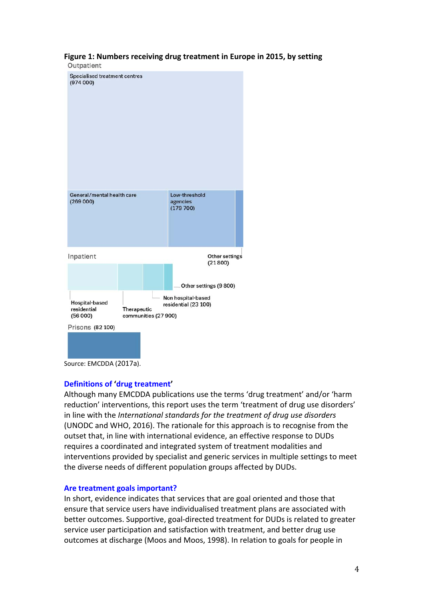# **Figure 1: Numbers receiving drug treatment in Europe in 2015, by setting**



Source: EMCDDA (2017a).

#### **Definitions of 'drug treatment'**

Although many EMCDDA publications use the terms 'drug treatment' and/or 'harm reduction' interventions, this report uses the term 'treatment of drug use disorders' in line with the *International standards for the treatment of drug use disorders* (UNODC and WHO, 2016). The rationale for this approach is to recognise from the outset that, in line with international evidence, an effective response to DUDs requires a coordinated and integrated system of treatment modalities and interventions provided by specialist and generic services in multiple settings to meet the diverse needs of different population groups affected by DUDs.

#### **Are treatment goals important?**

In short, evidence indicates that services that are goal oriented and those that ensure that service users have individualised treatment plans are associated with better outcomes. Supportive, goal-directed treatment for DUDs is related to greater service user participation and satisfaction with treatment, and better drug use outcomes at discharge (Moos and Moos, 1998). In relation to goals for people in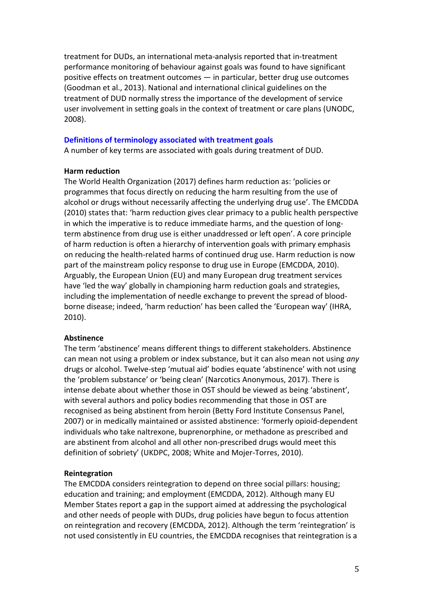treatment for DUDs, an international meta-analysis reported that in-treatment performance monitoring of behaviour against goals was found to have significant positive effects on treatment outcomes — in particular, better drug use outcomes (Goodman et al., 2013). National and international clinical guidelines on the treatment of DUD normally stress the importance of the development of service user involvement in setting goals in the context of treatment or care plans (UNODC, 2008).

#### **Definitions of terminology associated with treatment goals**

A number of key terms are associated with goals during treatment of DUD.

#### **Harm reduction**

The World Health Organization (2017) defines harm reduction as: 'policies or programmes that focus directly on reducing the harm resulting from the use of alcohol or drugs without necessarily affecting the underlying drug use'. The EMCDDA (2010) states that: 'harm reduction gives clear primacy to a public health perspective in which the imperative is to reduce immediate harms, and the question of longterm abstinence from drug use is either unaddressed or left open'. A core principle of harm reduction is often a hierarchy of intervention goals with primary emphasis on reducing the health-related harms of continued drug use. Harm reduction is now part of the mainstream policy response to drug use in Europe (EMCDDA, 2010). Arguably, the European Union (EU) and many European drug treatment services have 'led the way' globally in championing harm reduction goals and strategies, including the implementation of needle exchange to prevent the spread of bloodborne disease; indeed, 'harm reduction' has been called the 'European way' (IHRA, 2010).

#### **Abstinence**

The term 'abstinence' means different things to different stakeholders. Abstinence can mean not using a problem or index substance, but it can also mean not using *any* drugs or alcohol. Twelve-step 'mutual aid' bodies equate 'abstinence' with not using the 'problem substance' or 'being clean' (Narcotics Anonymous, 2017). There is intense debate about whether those in OST should be viewed as being 'abstinent', with several authors and policy bodies recommending that those in OST are recognised as being abstinent from heroin (Betty Ford Institute Consensus Panel, 2007) or in medically maintained or assisted abstinence: 'formerly opioid-dependent individuals who take naltrexone, buprenorphine, or methadone as prescribed and are abstinent from alcohol and all other non-prescribed drugs would meet this definition of sobriety' (UKDPC, 2008; White and Mojer-Torres, 2010).

#### **Reintegration**

The EMCDDA considers reintegration to depend on three social pillars: housing; education and training; and employment (EMCDDA, 2012). Although many EU Member States report a gap in the support aimed at addressing the psychological and other needs of people with DUDs, drug policies have begun to focus attention on reintegration and recovery (EMCDDA, 2012). Although the term 'reintegration' is not used consistently in EU countries, the EMCDDA recognises that reintegration is a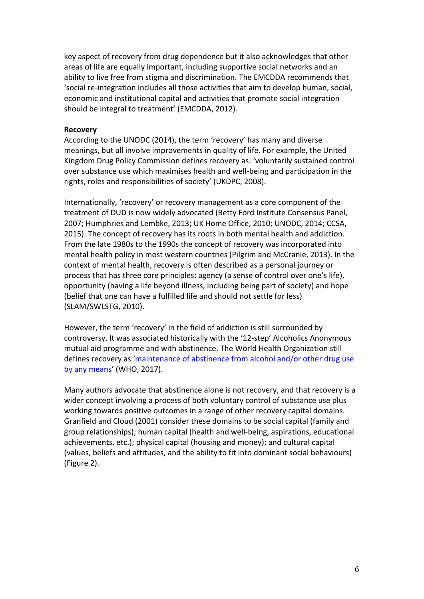key aspect of recovery from drug dependence but it also acknowledges that other areas of life are equally important, including supportive social networks and an ability to live free from stigma and discrimination. The EMCDDA recommends that 'social re-integration includes all those activities that aim to develop human, social, economic and institutional capital and activities that promote social integration should be integral to treatment' (EMCDDA, 2012)*.* 

#### **Recovery**

According to the UNODC (2014), the term 'recovery' has many and diverse meanings, but all involve improvements in quality of life. For example, the United Kingdom Drug Policy Commission defines recovery as: 'voluntarily sustained control over substance use which maximises health and well-being and participation in the rights, roles and responsibilities of society' (UKDPC, 2008).

Internationally, 'recovery' or recovery management as a core component of the treatment of DUD is now widely advocated (Betty Ford Institute Consensus Panel, 2007; Humphries and Lembke, 2013; UK Home Office, 2010; UNODC, 2014; CCSA, 2015). The concept of recovery has its roots in both mental health and addiction. From the late 1980s to the 1990s the concept of recovery was incorporated into mental health policy in most western countries (Pilgrim and McCranie, 2013). In the context of mental health, recovery is often described as a personal journey or process that has three core principles: agency (a sense of control over one's life), opportunity (having a life beyond illness, including being part of society) and hope (belief that one can have a fulfilled life and should not settle for less) (SLAM/SWLSTG, 2010).

However, the term 'recovery' in the field of addiction is still surrounded by controversy. It was associated historically with the '12-step' Alcoholics Anonymous mutual aid programme and with abstinence. The World Health Organization still defines recovery as 'maintenance of abstinence from alcohol and/or other drug use by any means' (WHO, 2017).

Many authors advocate that abstinence alone is not recovery, and that recovery is a wider concept involving a process of both voluntary control of substance use plus working towards positive outcomes in a range of other recovery capital domains. Granfield and Cloud (2001) consider these domains to be social capital (family and group relationships); human capital (health and well-being, aspirations, educational achievements, etc.); physical capital (housing and money); and cultural capital (values, beliefs and attitudes, and the ability to fit into dominant social behaviours) (Figure 2).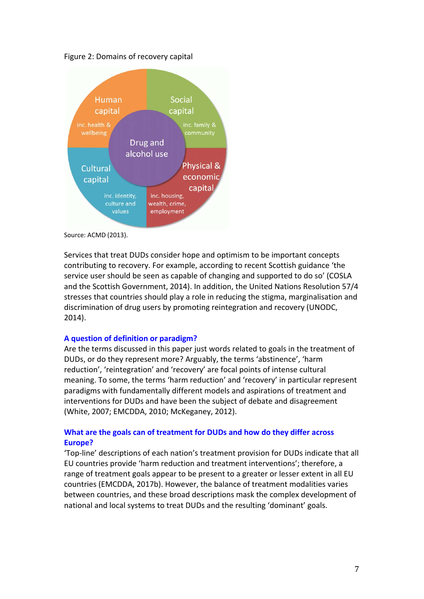

Figure 2: Domains of recovery capital

Source: ACMD (2013).

Services that treat DUDs consider hope and optimism to be important concepts contributing to recovery. For example, according to recent Scottish guidance 'the service user should be seen as capable of changing and supported to do so' (COSLA and the Scottish Government, 2014). In addition, the United Nations Resolution 57/4 stresses that countries should play a role in reducing the stigma, marginalisation and discrimination of drug users by promoting reintegration and recovery (UNODC, 2014).

#### **A question of definition or paradigm?**

Are the terms discussed in this paper just words related to goals in the treatment of DUDs, or do they represent more? Arguably, the terms 'abstinence', 'harm reduction', 'reintegration' and 'recovery' are focal points of intense cultural meaning. To some, the terms 'harm reduction' and 'recovery' in particular represent paradigms with fundamentally different models and aspirations of treatment and interventions for DUDs and have been the subject of debate and disagreement (White, 2007; EMCDDA, 2010; McKeganey, 2012).

# **What are the goals can of treatment for DUDs and how do they differ across Europe?**

'Top-line' descriptions of each nation's treatment provision for DUDs indicate that all EU countries provide 'harm reduction and treatment interventions'; therefore, a range of treatment goals appear to be present to a greater or lesser extent in all EU countries (EMCDDA, 2017b). However, the balance of treatment modalities varies between countries, and these broad descriptions mask the complex development of national and local systems to treat DUDs and the resulting 'dominant' goals.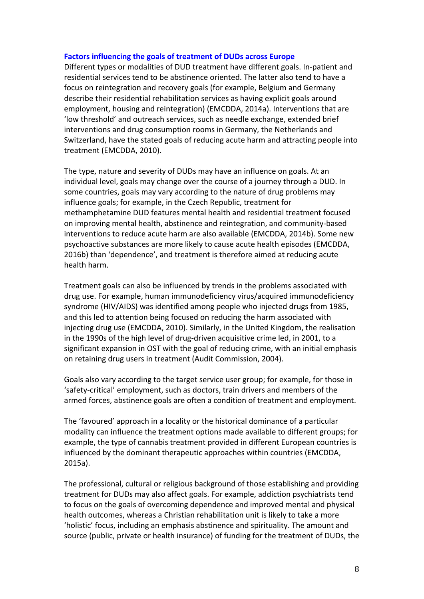#### **Factors influencing the goals of treatment of DUDs across Europe**

Different types or modalities of DUD treatment have different goals. In-patient and residential services tend to be abstinence oriented. The latter also tend to have a focus on reintegration and recovery goals (for example, Belgium and Germany describe their residential rehabilitation services as having explicit goals around employment, housing and reintegration) (EMCDDA, 2014a). Interventions that are 'low threshold' and outreach services, such as needle exchange, extended brief interventions and drug consumption rooms in Germany, the Netherlands and Switzerland, have the stated goals of reducing acute harm and attracting people into treatment (EMCDDA, 2010).

The type, nature and severity of DUDs may have an influence on goals. At an individual level, goals may change over the course of a journey through a DUD. In some countries, goals may vary according to the nature of drug problems may influence goals; for example, in the Czech Republic, treatment for methamphetamine DUD features mental health and residential treatment focused on improving mental health, abstinence and reintegration, and community-based interventions to reduce acute harm are also available (EMCDDA, 2014b). Some new psychoactive substances are more likely to cause acute health episodes (EMCDDA, 2016b) than 'dependence', and treatment is therefore aimed at reducing acute health harm.

Treatment goals can also be influenced by trends in the problems associated with drug use. For example, human immunodeficiency virus/acquired immunodeficiency syndrome (HIV/AIDS) was identified among people who injected drugs from 1985, and this led to attention being focused on reducing the harm associated with injecting drug use (EMCDDA, 2010). Similarly, in the United Kingdom, the realisation in the 1990s of the high level of drug-driven acquisitive crime led, in 2001, to a significant expansion in OST with the goal of reducing crime, with an initial emphasis on retaining drug users in treatment (Audit Commission, 2004).

Goals also vary according to the target service user group; for example, for those in 'safety-critical' employment, such as doctors, train drivers and members of the armed forces, abstinence goals are often a condition of treatment and employment.

The 'favoured' approach in a locality or the historical dominance of a particular modality can influence the treatment options made available to different groups; for example, the type of cannabis treatment provided in different European countries is influenced by the dominant therapeutic approaches within countries (EMCDDA, 2015a).

The professional, cultural or religious background of those establishing and providing treatment for DUDs may also affect goals. For example, addiction psychiatrists tend to focus on the goals of overcoming dependence and improved mental and physical health outcomes, whereas a Christian rehabilitation unit is likely to take a more 'holistic' focus, including an emphasis abstinence and spirituality. The amount and source (public, private or health insurance) of funding for the treatment of DUDs, the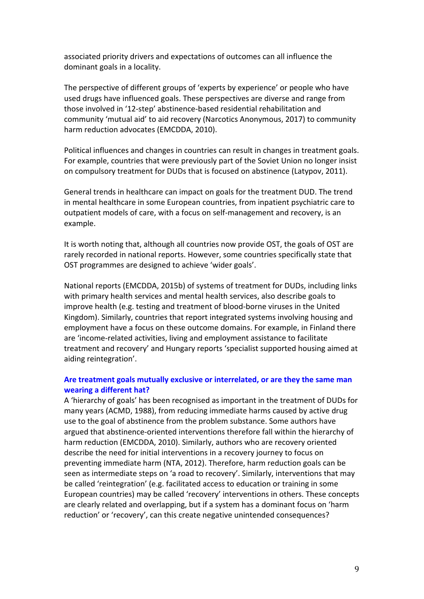associated priority drivers and expectations of outcomes can all influence the dominant goals in a locality.

The perspective of different groups of 'experts by experience' or people who have used drugs have influenced goals. These perspectives are diverse and range from those involved in '12-step' abstinence-based residential rehabilitation and community 'mutual aid' to aid recovery (Narcotics Anonymous, 2017) to community harm reduction advocates (EMCDDA, 2010).

Political influences and changes in countries can result in changes in treatment goals. For example, countries that were previously part of the Soviet Union no longer insist on compulsory treatment for DUDs that is focused on abstinence (Latypov, 2011).

General trends in healthcare can impact on goals for the treatment DUD. The trend in mental healthcare in some European countries, from inpatient psychiatric care to outpatient models of care, with a focus on self-management and recovery, is an example.

It is worth noting that, although all countries now provide OST, the goals of OST are rarely recorded in national reports. However, some countries specifically state that OST programmes are designed to achieve 'wider goals'.

National reports (EMCDDA, 2015b) of systems of treatment for DUDs, including links with primary health services and mental health services, also describe goals to improve health (e.g. testing and treatment of blood-borne viruses in the United Kingdom). Similarly, countries that report integrated systems involving housing and employment have a focus on these outcome domains. For example, in Finland there are 'income-related activities, living and employment assistance to facilitate treatment and recovery' and Hungary reports 'specialist supported housing aimed at aiding reintegration'.

### **Are treatment goals mutually exclusive or interrelated, or are they the same man wearing a different hat?**

A 'hierarchy of goals' has been recognised as important in the treatment of DUDs for many years (ACMD, 1988), from reducing immediate harms caused by active drug use to the goal of abstinence from the problem substance. Some authors have argued that abstinence-oriented interventions therefore fall within the hierarchy of harm reduction (EMCDDA, 2010). Similarly, authors who are recovery oriented describe the need for initial interventions in a recovery journey to focus on preventing immediate harm (NTA, 2012). Therefore, harm reduction goals can be seen as intermediate steps on 'a road to recovery'. Similarly, interventions that may be called 'reintegration' (e.g. facilitated access to education or training in some European countries) may be called 'recovery' interventions in others. These concepts are clearly related and overlapping, but if a system has a dominant focus on 'harm reduction' or 'recovery', can this create negative unintended consequences?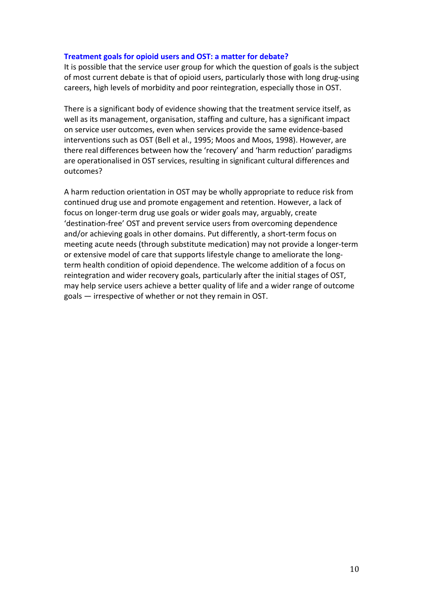#### **Treatment goals for opioid users and OST: a matter for debate?**

It is possible that the service user group for which the question of goals is the subject of most current debate is that of opioid users, particularly those with long drug-using careers, high levels of morbidity and poor reintegration, especially those in OST.

There is a significant body of evidence showing that the treatment service itself, as well as its management, organisation, staffing and culture, has a significant impact on service user outcomes, even when services provide the same evidence-based interventions such as OST (Bell et al., 1995; Moos and Moos, 1998). However, are there real differences between how the 'recovery' and 'harm reduction' paradigms are operationalised in OST services, resulting in significant cultural differences and outcomes?

A harm reduction orientation in OST may be wholly appropriate to reduce risk from continued drug use and promote engagement and retention. However, a lack of focus on longer-term drug use goals or wider goals may, arguably, create 'destination-free' OST and prevent service users from overcoming dependence and/or achieving goals in other domains. Put differently, a short-term focus on meeting acute needs (through substitute medication) may not provide a longer-term or extensive model of care that supports lifestyle change to ameliorate the longterm health condition of opioid dependence. The welcome addition of a focus on reintegration and wider recovery goals, particularly after the initial stages of OST, may help service users achieve a better quality of life and a wider range of outcome goals — irrespective of whether or not they remain in OST.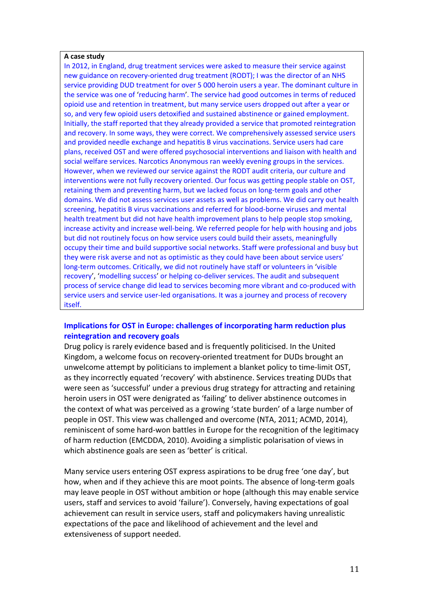#### **A case study**

In 2012, in England, drug treatment services were asked to measure their service against new guidance on recovery-oriented drug treatment (RODT); I was the director of an NHS service providing DUD treatment for over 5 000 heroin users a year. The dominant culture in the service was one of 'reducing harm'. The service had good outcomes in terms of reduced opioid use and retention in treatment, but many service users dropped out after a year or so, and very few opioid users detoxified and sustained abstinence or gained employment. Initially, the staff reported that they already provided a service that promoted reintegration and recovery. In some ways, they were correct. We comprehensively assessed service users and provided needle exchange and hepatitis B virus vaccinations. Service users had care plans, received OST and were offered psychosocial interventions and liaison with health and social welfare services. Narcotics Anonymous ran weekly evening groups in the services. However, when we reviewed our service against the RODT audit criteria, our culture and interventions were not fully recovery oriented. Our focus was getting people stable on OST, retaining them and preventing harm, but we lacked focus on long-term goals and other domains. We did not assess services user assets as well as problems. We did carry out health screening, hepatitis B virus vaccinations and referred for blood-borne viruses and mental health treatment but did not have health improvement plans to help people stop smoking, increase activity and increase well-being. We referred people for help with housing and jobs but did not routinely focus on how service users could build their assets, meaningfully occupy their time and build supportive social networks. Staff were professional and busy but they were risk averse and not as optimistic as they could have been about service users' long-term outcomes. Critically, we did not routinely have staff or volunteers in 'visible recovery', 'modelling success' or helping co-deliver services. The audit and subsequent process of service change did lead to services becoming more vibrant and co-produced with service users and service user-led organisations. It was a journey and process of recovery itself.

# **Implications for OST in Europe: challenges of incorporating harm reduction plus reintegration and recovery goals**

Drug policy is rarely evidence based and is frequently politicised. In the United Kingdom, a welcome focus on recovery-oriented treatment for DUDs brought an unwelcome attempt by politicians to implement a blanket policy to time-limit OST, as they incorrectly equated 'recovery' with abstinence. Services treating DUDs that were seen as 'successful' under a previous drug strategy for attracting and retaining heroin users in OST were denigrated as 'failing' to deliver abstinence outcomes in the context of what was perceived as a growing 'state burden' of a large number of people in OST. This view was challenged and overcome (NTA, 2011; ACMD, 2014), reminiscent of some hard-won battles in Europe for the recognition of the legitimacy of harm reduction (EMCDDA, 2010). Avoiding a simplistic polarisation of views in which abstinence goals are seen as 'better' is critical.

Many service users entering OST express aspirations to be drug free 'one day', but how, when and if they achieve this are moot points. The absence of long-term goals may leave people in OST without ambition or hope (although this may enable service users, staff and services to avoid 'failure'). Conversely, having expectations of goal achievement can result in service users, staff and policymakers having unrealistic expectations of the pace and likelihood of achievement and the level and extensiveness of support needed.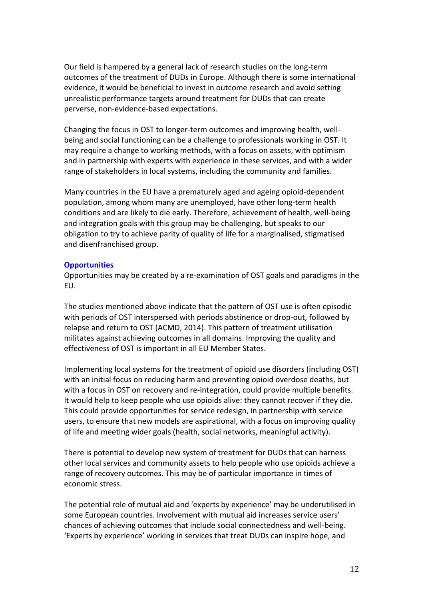Our field is hampered by a general lack of research studies on the long-term outcomes of the treatment of DUDs in Europe. Although there is some international evidence, it would be beneficial to invest in outcome research and avoid setting unrealistic performance targets around treatment for DUDs that can create perverse, non-evidence-based expectations.

Changing the focus in OST to longer-term outcomes and improving health, wellbeing and social functioning can be a challenge to professionals working in OST. It may require a change to working methods, with a focus on assets, with optimism and in partnership with experts with experience in these services, and with a wider range of stakeholders in local systems, including the community and families.

Many countries in the EU have a prematurely aged and ageing opioid-dependent population, among whom many are unemployed, have other long-term health conditions and are likely to die early. Therefore, achievement of health, well-being and integration goals with this group may be challenging, but speaks to our obligation to try to achieve parity of quality of life for a marginalised, stigmatised and disenfranchised group.

#### **Opportunities**

Opportunities may be created by a re-examination of OST goals and paradigms in the EU.

The studies mentioned above indicate that the pattern of OST use is often episodic with periods of OST interspersed with periods abstinence or drop-out, followed by relapse and return to OST (ACMD, 2014). This pattern of treatment utilisation militates against achieving outcomes in all domains. Improving the quality and effectiveness of OST is important in all EU Member States.

Implementing local systems for the treatment of opioid use disorders (including OST) with an initial focus on reducing harm and preventing opioid overdose deaths, but with a focus in OST on recovery and re-integration, could provide multiple benefits. It would help to keep people who use opioids alive: they cannot recover if they die. This could provide opportunities for service redesign, in partnership with service users, to ensure that new models are aspirational, with a focus on improving quality of life and meeting wider goals (health, social networks, meaningful activity).

There is potential to develop new system of treatment for DUDs that can harness other local services and community assets to help people who use opioids achieve a range of recovery outcomes. This may be of particular importance in times of economic stress.

The potential role of mutual aid and 'experts by experience' may be underutilised in some European countries. Involvement with mutual aid increases service users' chances of achieving outcomes that include social connectedness and well-being. 'Experts by experience' working in services that treat DUDs can inspire hope, and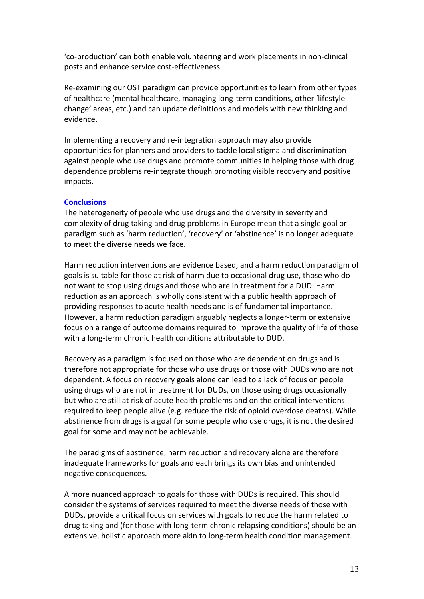'co-production' can both enable volunteering and work placements in non-clinical posts and enhance service cost-effectiveness.

Re-examining our OST paradigm can provide opportunities to learn from other types of healthcare (mental healthcare, managing long-term conditions, other 'lifestyle change' areas, etc.) and can update definitions and models with new thinking and evidence.

Implementing a recovery and re-integration approach may also provide opportunities for planners and providers to tackle local stigma and discrimination against people who use drugs and promote communities in helping those with drug dependence problems re-integrate though promoting visible recovery and positive impacts.

# **Conclusions**

The heterogeneity of people who use drugs and the diversity in severity and complexity of drug taking and drug problems in Europe mean that a single goal or paradigm such as 'harm reduction', 'recovery' or 'abstinence' is no longer adequate to meet the diverse needs we face.

Harm reduction interventions are evidence based, and a harm reduction paradigm of goals is suitable for those at risk of harm due to occasional drug use, those who do not want to stop using drugs and those who are in treatment for a DUD. Harm reduction as an approach is wholly consistent with a public health approach of providing responses to acute health needs and is of fundamental importance. However, a harm reduction paradigm arguably neglects a longer-term or extensive focus on a range of outcome domains required to improve the quality of life of those with a long-term chronic health conditions attributable to DUD.

Recovery as a paradigm is focused on those who are dependent on drugs and is therefore not appropriate for those who use drugs or those with DUDs who are not dependent. A focus on recovery goals alone can lead to a lack of focus on people using drugs who are not in treatment for DUDs, on those using drugs occasionally but who are still at risk of acute health problems and on the critical interventions required to keep people alive (e.g. reduce the risk of opioid overdose deaths). While abstinence from drugs is a goal for some people who use drugs, it is not the desired goal for some and may not be achievable.

The paradigms of abstinence, harm reduction and recovery alone are therefore inadequate frameworks for goals and each brings its own bias and unintended negative consequences.

A more nuanced approach to goals for those with DUDs is required. This should consider the systems of services required to meet the diverse needs of those with DUDs, provide a critical focus on services with goals to reduce the harm related to drug taking and (for those with long-term chronic relapsing conditions) should be an extensive, holistic approach more akin to long-term health condition management.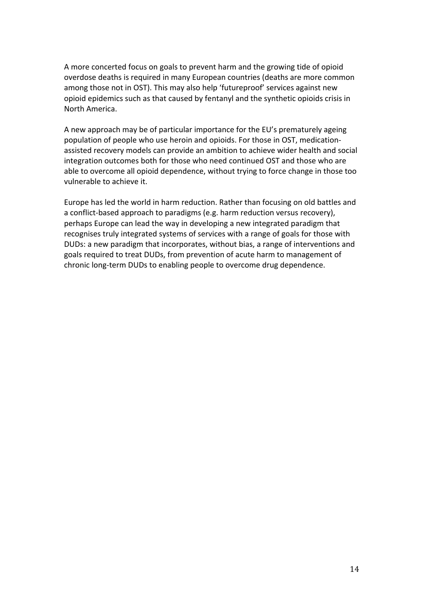A more concerted focus on goals to prevent harm and the growing tide of opioid overdose deaths is required in many European countries (deaths are more common among those not in OST). This may also help 'futureproof' services against new opioid epidemics such as that caused by fentanyl and the synthetic opioids crisis in North America.

A new approach may be of particular importance for the EU's prematurely ageing population of people who use heroin and opioids. For those in OST, medicationassisted recovery models can provide an ambition to achieve wider health and social integration outcomes both for those who need continued OST and those who are able to overcome all opioid dependence, without trying to force change in those too vulnerable to achieve it.

Europe has led the world in harm reduction. Rather than focusing on old battles and a conflict-based approach to paradigms (e.g. harm reduction versus recovery), perhaps Europe can lead the way in developing a new integrated paradigm that recognises truly integrated systems of services with a range of goals for those with DUDs: a new paradigm that incorporates, without bias, a range of interventions and goals required to treat DUDs, from prevention of acute harm to management of chronic long-term DUDs to enabling people to overcome drug dependence.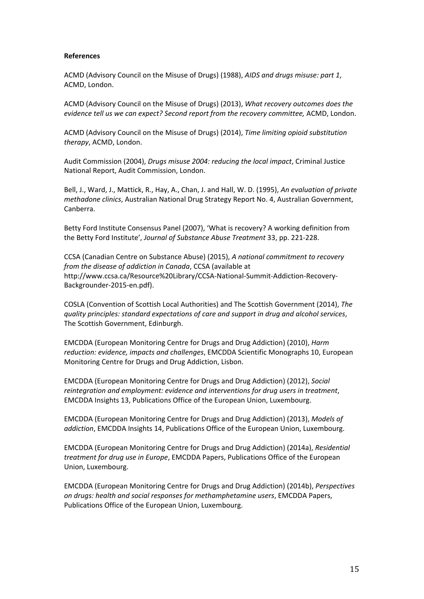#### **References**

ACMD (Advisory Council on the Misuse of Drugs) (1988), *AIDS and drugs misuse: part 1*, ACMD, London.

ACMD (Advisory Council on the Misuse of Drugs) (2013), *What recovery outcomes does the evidence tell us we can expect? Second report from the recovery committee,* ACMD, London.

ACMD (Advisory Council on the Misuse of Drugs) (2014), *Time limiting opioid substitution therapy*, ACMD, London.

Audit Commission (2004), *Drugs misuse 2004: reducing the local impact*, Criminal Justice National Report, Audit Commission, London.

Bell, J., Ward, J., Mattick, R., Hay, A., Chan, J. and Hall, W. D. (1995), *An evaluation of private methadone clinics*, Australian National Drug Strategy Report No. 4, Australian Government, Canberra.

Betty Ford Institute Consensus Panel (2007), 'What is recovery? A working definition from the Betty Ford Institute', *Journal of Substance Abuse Treatment* 33, pp. 221-228.

CCSA (Canadian Centre on Substance Abuse) (2015), *A national commitment to recovery from the disease of addiction in Canada*, CCSA (available at http://www.ccsa.ca/Resource%20Library/CCSA-National-Summit-Addiction-Recovery-Backgrounder-2015-en.pdf).

COSLA (Convention of Scottish Local Authorities) and The Scottish Government (2014), *The quality principles: standard expectations of care and support in drug and alcohol services*, The Scottish Government, Edinburgh.

EMCDDA (European Monitoring Centre for Drugs and Drug Addiction) (2010), *Harm reduction: evidence, impacts and challenges*, EMCDDA Scientific Monographs 10, European Monitoring Centre for Drugs and Drug Addiction, Lisbon.

EMCDDA (European Monitoring Centre for Drugs and Drug Addiction) (2012), *Social reintegration and employment: evidence and interventions for drug users in treatment*, EMCDDA Insights 13, Publications Office of the European Union, Luxembourg.

EMCDDA (European Monitoring Centre for Drugs and Drug Addiction) (2013), *Models of addiction*, EMCDDA Insights 14, Publications Office of the European Union, Luxembourg.

EMCDDA (European Monitoring Centre for Drugs and Drug Addiction) (2014a), *Residential treatment for drug use in Europe*, EMCDDA Papers, Publications Office of the European Union, Luxembourg.

EMCDDA (European Monitoring Centre for Drugs and Drug Addiction) (2014b), *Perspectives on drugs: health and social responses for methamphetamine users*, EMCDDA Papers, Publications Office of the European Union, Luxembourg.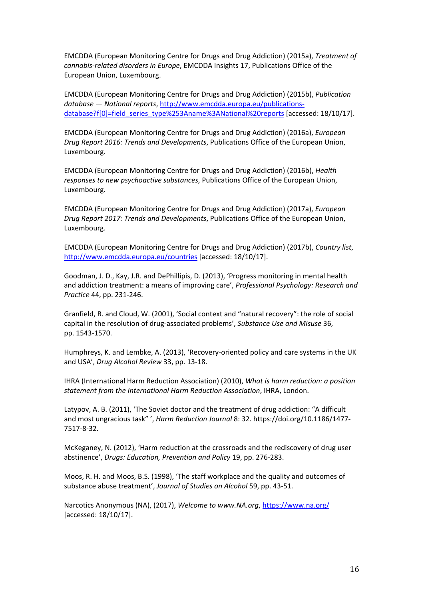EMCDDA (European Monitoring Centre for Drugs and Drug Addiction) (2015a), *Treatment of cannabis-related disorders in Europe*, EMCDDA Insights 17, Publications Office of the European Union, Luxembourg.

EMCDDA (European Monitoring Centre for Drugs and Drug Addiction) (2015b), *Publication database — National reports*, http://www.emcdda.europa.eu/publicationsdatabase?f[0]=field\_series\_type%253Aname%3ANational%20reports [accessed: 18/10/17].

EMCDDA (European Monitoring Centre for Drugs and Drug Addiction) (2016a), *European Drug Report 2016: Trends and Developments*, Publications Office of the European Union, Luxembourg.

EMCDDA (European Monitoring Centre for Drugs and Drug Addiction) (2016b), *Health responses to new psychoactive substances*, Publications Office of the European Union, Luxembourg.

EMCDDA (European Monitoring Centre for Drugs and Drug Addiction) (2017a), *European Drug Report 2017: Trends and Developments*, Publications Office of the European Union, Luxembourg.

EMCDDA (European Monitoring Centre for Drugs and Drug Addiction) (2017b), *Country list*, http://www.emcdda.europa.eu/countries [accessed: 18/10/17].

Goodman, J. D., Kay, J.R. and DePhillipis, D. (2013), 'Progress monitoring in mental health and addiction treatment: a means of improving care', *Professional Psychology: Research and Practice* 44, pp. 231-246.

Granfield, R. and Cloud, W. (2001), 'Social context and "natural recovery": the role of social capital in the resolution of drug-associated problems', *Substance Use and Misuse* 36, pp. 1543-1570.

Humphreys, K. and Lembke, A. (2013), 'Recovery-oriented policy and care systems in the UK and USA', *Drug Alcohol Review* 33, pp. 13-18.

IHRA (International Harm Reduction Association) (2010), *What is harm reduction: a position statement from the International Harm Reduction Association*, IHRA, London.

Latypov, A. B. (2011), 'The Soviet doctor and the treatment of drug addiction: "A difficult and most ungracious task" ', *Harm Reduction Journal* 8: 32. https://doi.org/10.1186/1477- 7517-8-32.

McKeganey, N. (2012), 'Harm reduction at the crossroads and the rediscovery of drug user abstinence', *Drugs: Education, Prevention and Policy* 19, pp. 276-283.

Moos, R. H. and Moos, B.S. (1998), 'The staff workplace and the quality and outcomes of substance abuse treatment', *Journal of Studies on Alcohol* 59, pp. 43-51.

Narcotics Anonymous (NA), (2017), *Welcome to www.NA.org*, https://www.na.org/ [accessed: 18/10/17].